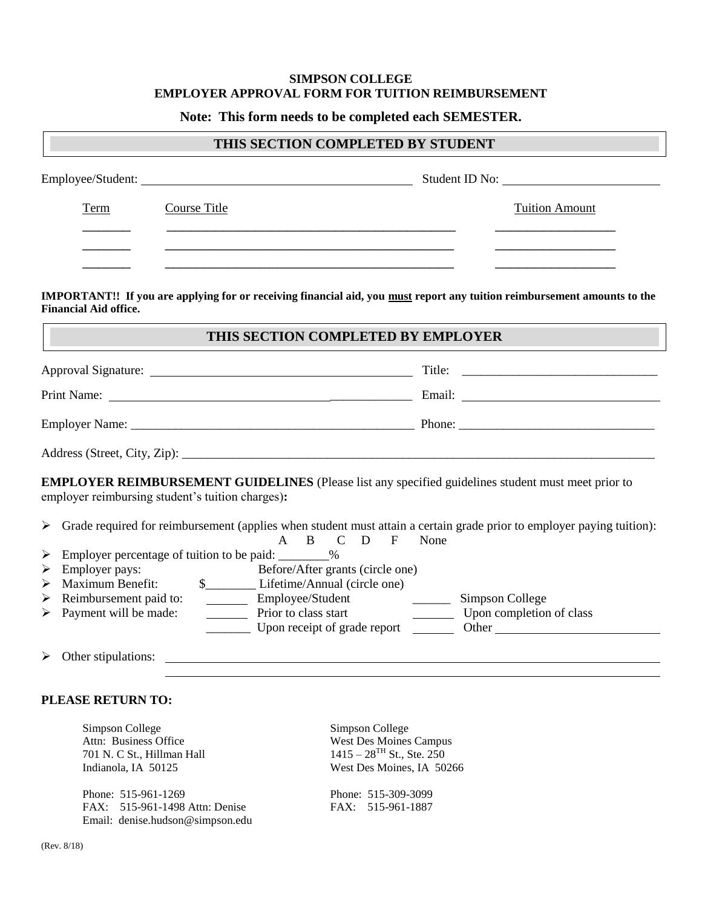## **SIMPSON COLLEGE EMPLOYER APPROVAL FORM FOR TUITION REIMBURSEMENT**

**Note: This form needs to be completed each SEMESTER.**

| THIS SECTION COMPLETED BY STUDENT                |                                                                                                                  |                                                                                                                                                                                                                                                            |
|--------------------------------------------------|------------------------------------------------------------------------------------------------------------------|------------------------------------------------------------------------------------------------------------------------------------------------------------------------------------------------------------------------------------------------------------|
|                                                  | Employee/Student:                                                                                                | Student ID No:                                                                                                                                                                                                                                             |
| Term                                             | Course Title                                                                                                     | <b>Tuition Amount</b>                                                                                                                                                                                                                                      |
|                                                  | and the control of the control of the control of the control of the control of the control of the control of the |                                                                                                                                                                                                                                                            |
| <b>Financial Aid office.</b>                     |                                                                                                                  | IMPORTANT!! If you are applying for or receiving financial aid, you must report any tuition reimbursement amounts to the                                                                                                                                   |
|                                                  | THIS SECTION COMPLETED BY EMPLOYER                                                                               |                                                                                                                                                                                                                                                            |
|                                                  |                                                                                                                  |                                                                                                                                                                                                                                                            |
|                                                  |                                                                                                                  |                                                                                                                                                                                                                                                            |
|                                                  |                                                                                                                  |                                                                                                                                                                                                                                                            |
|                                                  |                                                                                                                  |                                                                                                                                                                                                                                                            |
| employer reimbursing student's tuition charges): |                                                                                                                  | EMPLOYER REIMBURSEMENT GUIDELINES (Please list any specified guidelines student must meet prior to                                                                                                                                                         |
|                                                  | D<br>A<br>B.<br>$\mathcal{C}$<br>$\mathbf{F}$                                                                    | > Grade required for reimbursement (applies when student must attain a certain grade prior to employer paying tuition):<br>None                                                                                                                            |
| $\blacktriangleright$                            | Employer percentage of tuition to be paid: ________%                                                             |                                                                                                                                                                                                                                                            |
| Employer pays:<br>$\blacktriangleright$          | Before/After grants (circle one)                                                                                 |                                                                                                                                                                                                                                                            |
| Maximum Benefit:<br>$\blacktriangleright$        | \$______________Lifetime/Annual (circle one)                                                                     |                                                                                                                                                                                                                                                            |
| Reimbursement paid to:<br>➤                      | Employee/Student College Simpson College                                                                         |                                                                                                                                                                                                                                                            |
| Payment will be made:<br>$\blacktriangleright$   | Prior to class start                                                                                             | Upon completion of class<br>Upon receipt of grade report Upon Communication Communication Communication Communication Communication Communication Communication Communication Communication Communication Communication Communication Communication Commun |
| $\blacktriangleright$                            |                                                                                                                  |                                                                                                                                                                                                                                                            |
|                                                  |                                                                                                                  |                                                                                                                                                                                                                                                            |

## **PLEASE RETURN TO:**

Simpson College Simpson College Attn: Business Office West Des Moines Campus 701 N. C St., Hillman Hall  $1415 - 28^{TH}$  St., Ste. 250

Phone: 515-961-1269<br>
FAX: 515-961-1498 Attn: Denise<br>
FAX: 515-961-1887 FAX: 515-961-1498 Attn: Denise Email: denise.hudson@simpson.edu

Indianola, IA 50125 West Des Moines, IA 50266